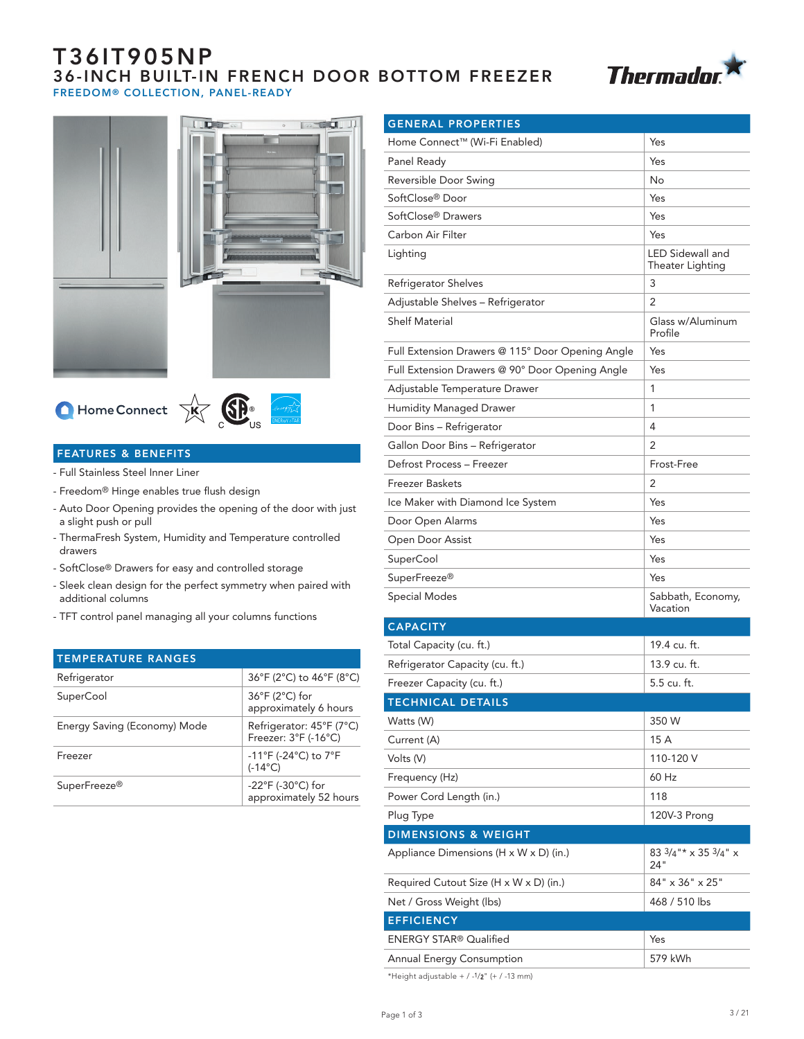# T36IT905NP 36-INCH BUILT-IN FRENCH DOOR BOTTOM FREEZER FREEDOM® COLLECTION, PANEL-READY







## FEATURES & BENEFITS

- Full Stainless Steel Inner Liner
- Freedom® Hinge enables true flush design
- Auto Door Opening provides the opening of the door with just a slight push or pull
- ThermaFresh System, Humidity and Temperature controlled drawers
- SoftClose® Drawers for easy and controlled storage
- Sleek clean design for the perfect symmetry when paired with additional columns
- TFT control panel managing all your columns functions

| 36°F (2°C) to 46°F (8°C)                                        |
|-----------------------------------------------------------------|
| $36^{\circ}$ F (2 $^{\circ}$ C) for<br>approximately 6 hours    |
| Refrigerator: 45°F (7°C)<br>Freezer: 3°F (-16°C)                |
| -11°F (-24°C) to 7°F<br>$(-14^{\circ}C)$                        |
| $-22^{\circ}F$ (-30 $^{\circ}C$ ) for<br>approximately 52 hours |
|                                                                 |

| <b>GENERAL PROPERTIES</b>                            |                                      |
|------------------------------------------------------|--------------------------------------|
| Home Connect™ (Wi-Fi Enabled)                        | Yes                                  |
| Panel Ready                                          | Yes                                  |
| Reversible Door Swing                                | No                                   |
| SoftClose® Door                                      | Yes                                  |
| SoftClose <sup>®</sup> Drawers                       | Yes                                  |
| Carbon Air Filter                                    | Yes                                  |
| Lighting                                             | LED Sidewall and<br>Theater Lighting |
| Refrigerator Shelves                                 | 3                                    |
| Adjustable Shelves - Refrigerator                    | 2                                    |
| <b>Shelf Material</b>                                | Glass w/Aluminum<br>Profile          |
| Full Extension Drawers @ 115° Door Opening Angle     | Yes                                  |
| Full Extension Drawers @ 90° Door Opening Angle      | Yes                                  |
| Adjustable Temperature Drawer                        | 1                                    |
| Humidity Managed Drawer                              | 1                                    |
| Door Bins - Refrigerator                             | 4                                    |
| Gallon Door Bins - Refrigerator                      | 2                                    |
| Defrost Process - Freezer                            | Frost-Free                           |
| <b>Freezer Baskets</b>                               | 2                                    |
| Ice Maker with Diamond Ice System                    | Yes                                  |
| Door Open Alarms                                     | Yes                                  |
| Open Door Assist                                     | Yes                                  |
| SuperCool                                            | Yes                                  |
| SuperFreeze <sup>®</sup>                             | Yes                                  |
| <b>Special Modes</b>                                 | Sabbath, Economy,<br>Vacation        |
| <b>CAPACITY</b>                                      |                                      |
| Total Capacity (cu. ft.)                             | 19.4 cu. ft.                         |
| Refrigerator Capacity (cu. ft.)                      | 13.9 cu. ft.                         |
| Freezer Capacity (cu. ft.)                           | 5.5 cu. ft.                          |
| <b>TECHNICAL DETAILS</b>                             |                                      |
| Watts (W)                                            | 350 W                                |
| Current (A)                                          | 15 A                                 |
| Volts (V)                                            | 110-120 V                            |
| Frequency (Hz)                                       | 60 Hz                                |
| Power Cord Length (in.)                              | 118                                  |
| Plug Type                                            | 120V-3 Prong                         |
| <b>DIMENSIONS &amp; WEIGHT</b>                       |                                      |
| Appliance Dimensions ( $H \times W \times D$ ) (in.) | 83 3/4"* x 35 3/4" x<br>24"          |
| Required Cutout Size (H x W x D) (in.)               | 84" x 36" x 25"                      |
| Net / Gross Weight (lbs)                             | 468 / 510 lbs                        |
| <b>EFFICIENCY</b>                                    |                                      |
| <b>ENERGY STAR® Qualified</b>                        | Yes                                  |
| <b>Annual Energy Consumption</b>                     | 579 kWh                              |

\*Height adjustable +  $/$  - $1/2$ " (+  $/$  -13 mm)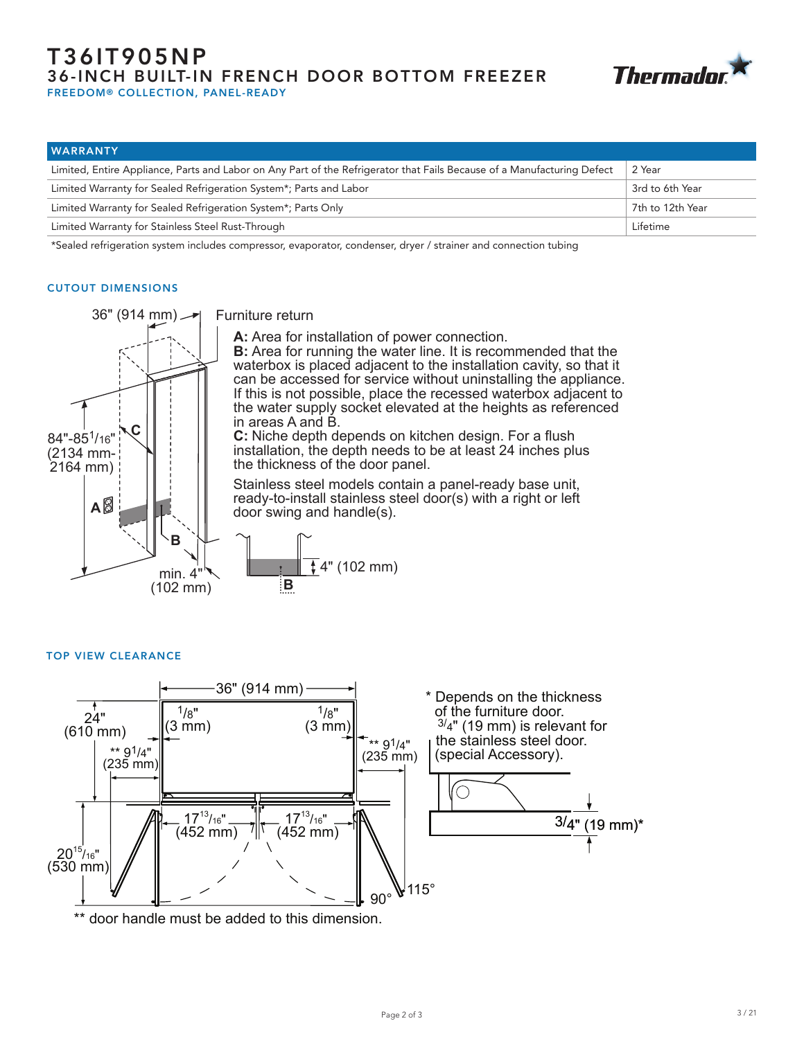# T36IT905NP 36-INCH BUILT-IN FRENCH DOOR BOTTOM FREEZER FREEDOM® COLLECTION, PANEL-READY



| <b>WARRANTY</b>                                                                                                         |                  |
|-------------------------------------------------------------------------------------------------------------------------|------------------|
| Limited, Entire Appliance, Parts and Labor on Any Part of the Refrigerator that Fails Because of a Manufacturing Defect | 2 Year           |
| Limited Warranty for Sealed Refrigeration System*; Parts and Labor                                                      | 3rd to 6th Year  |
| Limited Warranty for Sealed Refrigeration System*; Parts Only                                                           | 7th to 12th Year |
| Limited Warranty for Stainless Steel Rust-Through                                                                       | Lifetime         |

\*Sealed refrigeration system includes compressor, evaporator, condenser, dryer / strainer and connection tubing

#### CUTOUT DIMENSIONS



Furniture return

**A:** Area for installation of power connection.

**B:** Area for running the water line. It is recommended that the waterbox is placed adjacent to the installation cavity, so that it can be accessed for service without uninstalling the appliance. If this is not possible, place the recessed waterbox adjacent to the water supply socket elevated at the heights as referenced in areas A and B.

**C:** Niche depth depends on kitchen design. For a flush installation, the depth needs to be at least 24 inches plus the thickness of the door panel.

Stainless steel models contain a panel-ready base unit, ready-to-install stainless steel door(s) with a right or left door swing and handle(s).



#### TOP VIEW CLEARANCE



\*\* door handle must be added to this dimension.